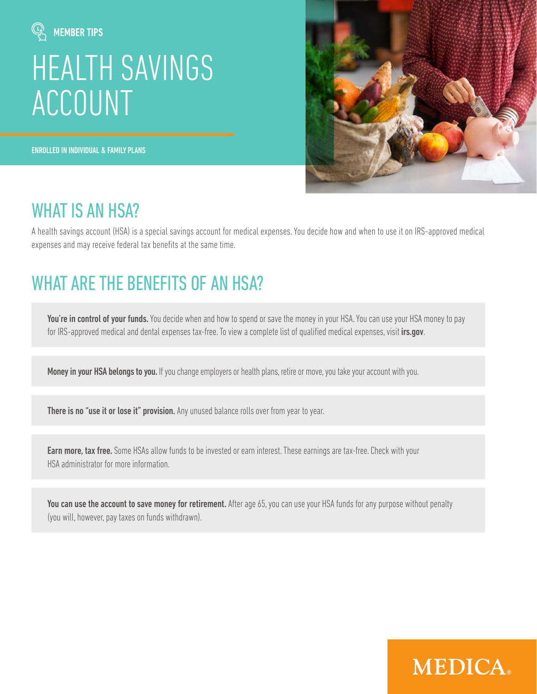

# [HEALTH SAVINGS](https://www.medsurety.com/medica-individual-hsa/)  ACCOUNT

ENROLLED IN INDIVIDUAL & FAMILY PLANS



**MEDICA** 

#### WHAT IS AN HSA?

A health savings account (HSA) is a special savings account for medical expenses. You decide how and when to use it on IRS-approved medical expenses and may receive federal tax benefits at the same time.

# [WHAT ARE THE BENEFITS OF AN HSA?](https://www.medsurety.com/medica-individual-hsa/)

You're in control of your funds. You decide when and how to spend or save the money in your HSA. You can use your HSA money to pay for IRS-approved medical and dental expenses tax-free. To view a complete list of qualified medical expenses, visit irs.gov.

Money in your HSA belongs to you. If you change employers or health plans, retire or move, you take your account with you.

There is no "use it or lose it" provision. Any unused balance rolls over from year to year.

**Earn more, tax free.** Some HSAs allow funds to be invested or earn interest. These earnings are tax-free. Check with your HSA administrator for more information.

You can use the account to save money for retirement. After age 65, you can use your HSA funds for any purpose without penalty (you will, however, pay taxes on funds withdrawn).